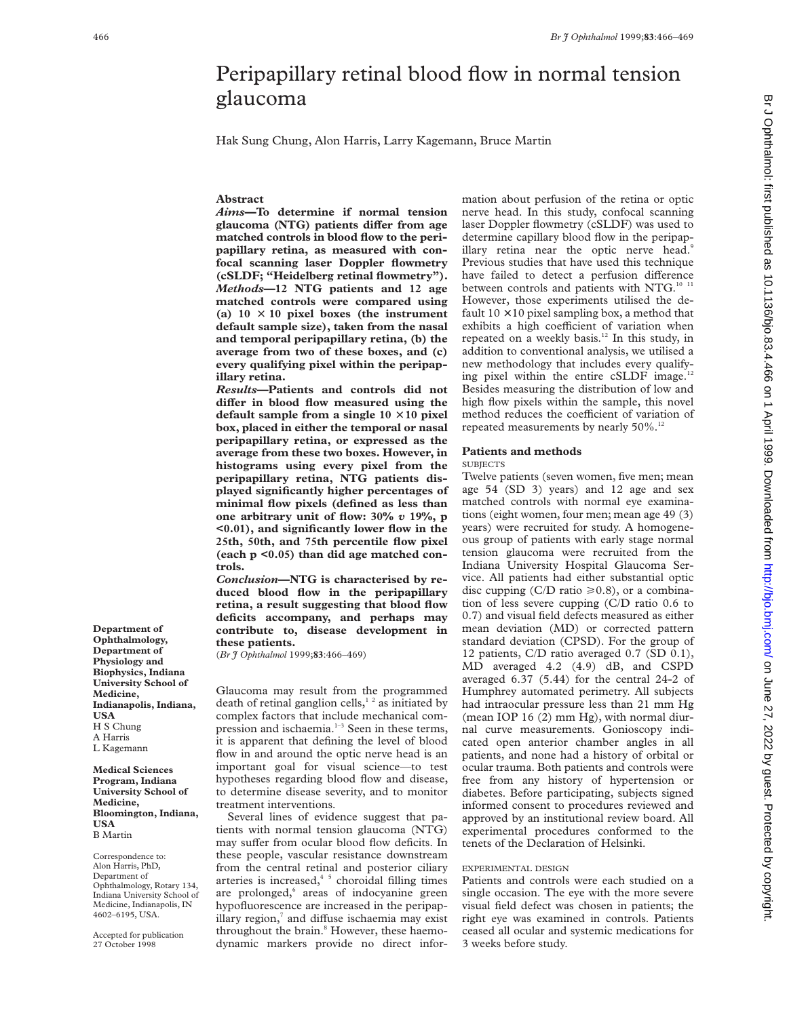# Peripapillary retinal blood flow in normal tension glaucoma

Hak Sung Chung, Alon Harris, Larry Kagemann, Bruce Martin

# **Abstract**

*Aims***—To determine if normal tension** glaucoma (NTG) patients differ from age **matched controls in blood flow to the peripapillary retina, as measured with confocal scanning laser Doppler flowmetry (cSLDF; "Heidelberg retinal flowmetry").** *Methods***—12 NTG patients and 12 age matched controls were compared using** (a)  $10 \times 10$  pixel boxes (the instrument **default sample size), taken from the nasal and temporal peripapillary retina, (b) the average from two of these boxes, and (c) every qualifying pixel within the peripapillary retina.**

*Results***—Patients and controls did not** differ in blood flow measured using the **default sample from a single 10** × **10 pixel box, placed in either the temporal or nasal peripapillary retina, or expressed as the average from these two boxes. However, in histograms using every pixel from the peripapillary retina, NTG patients displayed significantly higher percentages of minimal flow pixels (defined as less than one arbitrary unit of flow: 30%** *v* **19%, p <0.01), and significantly lower flow in the 25th, 50th, and 75th percentile flow pixel (each p <0.05) than did age matched controls.**

*Conclusion***—NTG is characterised by reduced blood flow in the peripapillary retina, a result suggesting that blood flow deficits accompany, and perhaps may contribute to, disease development in these patients.**

(*Br J Ophthalmol* 1999;**83**:466–469)

Glaucoma may result from the programmed death of retinal ganglion cells,<sup>12</sup> as initiated by complex factors that include mechanical compression and ischaemia.<sup>1-3</sup> Seen in these terms, it is apparent that defining the level of blood flow in and around the optic nerve head is an important goal for visual science—to test hypotheses regarding blood flow and disease, to determine disease severity, and to monitor treatment interventions.

Several lines of evidence suggest that patients with normal tension glaucoma (NTG) may suffer from ocular blood flow deficits. In these people, vascular resistance downstream from the central retinal and posterior ciliary arteries is increased,<sup>45</sup> choroidal filling times are prolonged,<sup>6</sup> areas of indocyanine green hypofluorescence are increased in the peripapillary region, $\alpha$  and diffuse ischaemia may exist throughout the brain.<sup>8</sup> However, these haemodynamic markers provide no direct infor-

mation about perfusion of the retina or optic nerve head. In this study, confocal scanning laser Doppler flowmetry (cSLDF) was used to determine capillary blood flow in the peripapillary retina near the optic nerve head.<sup>9</sup> Previous studies that have used this technique have failed to detect a perfusion difference between controls and patients with NTG.<sup>10 11</sup> However, those experiments utilised the default  $10 \times 10$  pixel sampling box, a method that exhibits a high coefficient of variation when repeated on a weekly basis.<sup>12</sup> In this study, in addition to conventional analysis, we utilised a new methodology that includes every qualifying pixel within the entire cSLDF image.12 Besides measuring the distribution of low and high flow pixels within the sample, this novel method reduces the coefficient of variation of repeated measurements by nearly 50%.<sup>12</sup>

## **Patients and methods**

#### **SUBJECTS**

Twelve patients (seven women, five men; mean age 54 (SD 3) years) and 12 age and sex matched controls with normal eye examinations (eight women, four men; mean age 49 (3) years) were recruited for study. A homogeneous group of patients with early stage normal tension glaucoma were recruited from the Indiana University Hospital Glaucoma Service. All patients had either substantial optic disc cupping (C/D ratio  $\geq 0.8$ ), or a combination of less severe cupping (C/D ratio 0.6 to 0.7) and visual field defects measured as either mean deviation (MD) or corrected pattern standard deviation (CPSD). For the group of 12 patients, C/D ratio averaged 0.7 (SD 0.1), MD averaged 4.2 (4.9) dB, and CSPD averaged 6.37 (5.44) for the central 24-2 of Humphrey automated perimetry. All subjects had intraocular pressure less than 21 mm Hg (mean IOP 16 (2) mm Hg), with normal diurnal curve measurements. Gonioscopy indicated open anterior chamber angles in all patients, and none had a history of orbital or ocular trauma. Both patients and controls were free from any history of hypertension or diabetes. Before participating, subjects signed informed consent to procedures reviewed and approved by an institutional review board. All experimental procedures conformed to the tenets of the Declaration of Helsinki.

## EXPERIMENTAL DESIGN

Patients and controls were each studied on a single occasion. The eye with the more severe visual field defect was chosen in patients; the right eye was examined in controls. Patients ceased all ocular and systemic medications for 3 weeks before study.

Br J Ophthalmol: first published as 10.1136/bjo.83.4.466 on 1 April 1999. Downloaded from http://bjo.bmj.com/ on June 27, 2022 by guest. Protected by copyright br June 27, 2022 by guest. Protected by guest. Protected as 10.1139. Downloaded as 10.1139. Downloaded as 10.126/bjo.bmj.com/ Br J 2022 by 9.02.0 Dr and the 10.213/9/bjo.83.4.466 on 1 April 1999. Dr and the 10.20 Dy and th

**Department of Ophthalmology, Department of Physiology and Biophysics, Indiana University School of Medicine, Indianapolis, Indiana, USA** H S Chung A Harris L Kagemann

**Medical Sciences Program, Indiana University School of Medicine, Bloomington, Indiana, USA** B Martin

Correspondence to: Alon Harris, PhD, Department of Ophthalmology, Rotary 134, Indiana University School of Medicine, Indianapolis, IN 4602–6195, USA.

Accepted for publication 27 October 1998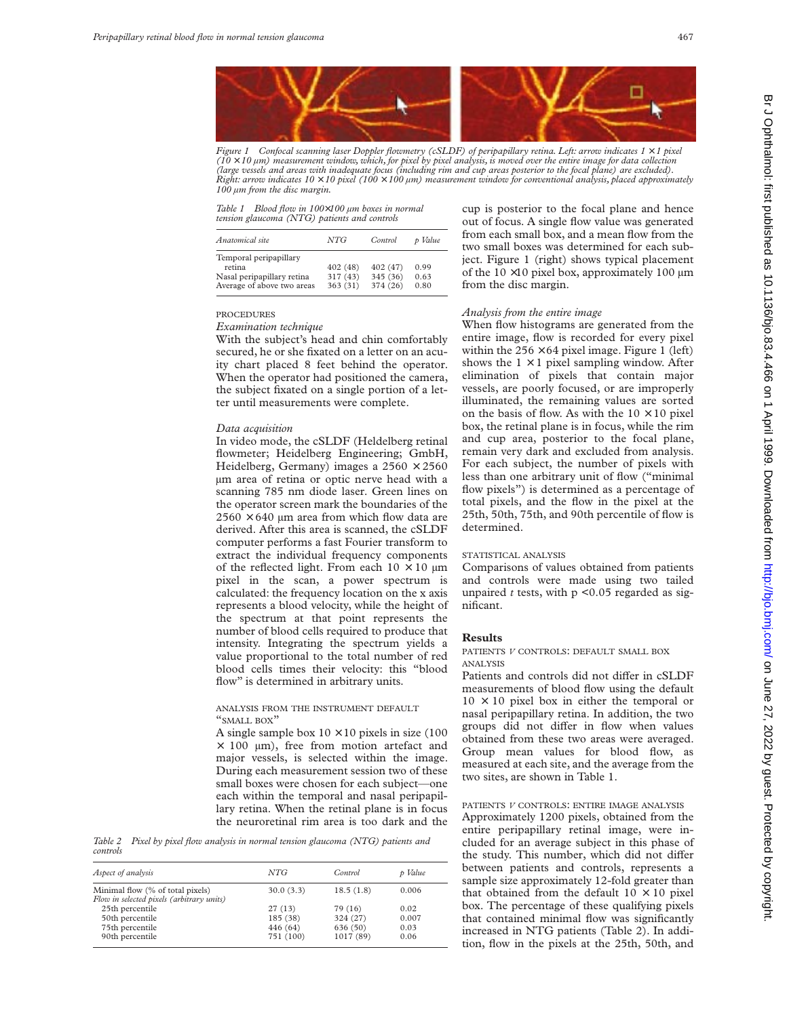

*Figure 1 Confocal scanning laser Doppler flowmetry (cSLDF) of peripapillary retina. Left: arrow indicates 1* × *1 pixel* (10  $\times$  10 µm) measurement window, which, for pixel by pixel analysis, is moved over the entire image for data collection<br>(large vessels and areas with inadequate focus (including rim and cup areas posterior to the focal *Right: arrow indicates 10* × *10 pixel (100* × *100 µm) measurement window for conventional analysis, placed approximately 100 µm from the disc margin.*

*Table 1 Blood flow in 100*×*100 µm boxes in normal tension glaucoma (NTG) patients and controls*

| Anatomical site                                                                              | NTG                             | Control                          | p Value              |
|----------------------------------------------------------------------------------------------|---------------------------------|----------------------------------|----------------------|
| Temporal peripapillary<br>retina<br>Nasal peripapillary retina<br>Average of above two areas | 402 (48)<br>317(43)<br>363 (31) | 402 (47)<br>345 (36)<br>374 (26) | 0.99<br>0.63<br>0.80 |

#### PROCEDURES

*Examination technique*

With the subject's head and chin comfortably secured, he or she fixated on a letter on an acuity chart placed 8 feet behind the operator. When the operator had positioned the camera, the subject fixated on a single portion of a letter until measurements were complete.

#### *Data acquisition*

In video mode, the cSLDF (Heldelberg retinal flowmeter; Heidelberg Engineering; GmbH, Heidelberg, Germany) images a  $2560 \times 2560$ µm area of retina or optic nerve head with a scanning 785 nm diode laser. Green lines on the operator screen mark the boundaries of the  $2560 \times 640$  µm area from which flow data are derived. After this area is scanned, the cSLDF computer performs a fast Fourier transform to extract the individual frequency components of the reflected light. From each  $10 \times 10 \mu m$ pixel in the scan, a power spectrum is calculated: the frequency location on the x axis represents a blood velocity, while the height of the spectrum at that point represents the number of blood cells required to produce that intensity. Integrating the spectrum yields a value proportional to the total number of red blood cells times their velocity: this "blood flow" is determined in arbitrary units.

## ANALYSIS FROM THE INSTRUMENT DEFAULT "SMALL BOX"

A single sample box  $10 \times 10$  pixels in size (100)  $\times$  100  $\mu$ m), free from motion artefact and major vessels, is selected within the image. During each measurement session two of these small boxes were chosen for each subject—one each within the temporal and nasal peripapillary retina. When the retinal plane is in focus the neuroretinal rim area is too dark and the

*Table 2 Pixel by pixel flow analysis in normal tension glaucoma (NTG) patients and controls*

| Aspect of analysis                        | NTG       | Control   | p Value |
|-------------------------------------------|-----------|-----------|---------|
| Minimal flow (% of total pixels)          | 30.0(3.3) | 18.5(1.8) | 0.006   |
| Flow in selected pixels (arbitrary units) |           |           |         |
| 25th percentile                           | 27(13)    | 79 (16)   | 0.02    |
| 50th percentile                           | 185 (38)  | 324 (27)  | 0.007   |
| 75th percentile                           | 446 (64)  | 636 (50)  | 0.03    |
| 90th percentile                           | 751 (100) | 1017 (89) | 0.06    |

cup is posterior to the focal plane and hence out of focus. A single flow value was generated from each small box, and a mean flow from the two small boxes was determined for each subject. Figure 1 (right) shows typical placement of the  $10 \times 10$  pixel box, approximately 100  $\mu$ m from the disc margin.

## *Analysis from the entire image*

When flow histograms are generated from the entire image, flow is recorded for every pixel within the  $256 \times 64$  pixel image. Figure 1 (left) shows the  $1 \times 1$  pixel sampling window. After elimination of pixels that contain major vessels, are poorly focused, or are improperly illuminated, the remaining values are sorted on the basis of flow. As with the  $10 \times 10$  pixel box, the retinal plane is in focus, while the rim and cup area, posterior to the focal plane, remain very dark and excluded from analysis. For each subject, the number of pixels with less than one arbitrary unit of flow ("minimal flow pixels") is determined as a percentage of total pixels, and the flow in the pixel at the 25th, 50th, 75th, and 90th percentile of flow is determined.

#### STATISTICAL ANALYSIS

Comparisons of values obtained from patients and controls were made using two tailed unpaired  $t$  tests, with  $p \le 0.05$  regarded as significant.

## **Results**

PATIENTS *V* CONTROLS: DEFAULT SMALL BOX ANALYSIS

Patients and controls did not differ in cSLDF measurements of blood flow using the default  $10 \times 10$  pixel box in either the temporal or nasal peripapillary retina. In addition, the two groups did not differ in flow when values obtained from these two areas were averaged. Group mean values for blood flow, as measured at each site, and the average from the two sites, are shown in Table 1.

# PATIENTS *V* CONTROLS: ENTIRE IMAGE ANALYSIS

Approximately 1200 pixels, obtained from the entire peripapillary retinal image, were included for an average subject in this phase of the study. This number, which did not differ between patients and controls, represents a sample size approximately 12-fold greater than that obtained from the default  $10 \times 10$  pixel box. The percentage of these qualifying pixels that contained minimal flow was significantly increased in NTG patients (Table 2). In addition, flow in the pixels at the 25th, 50th, and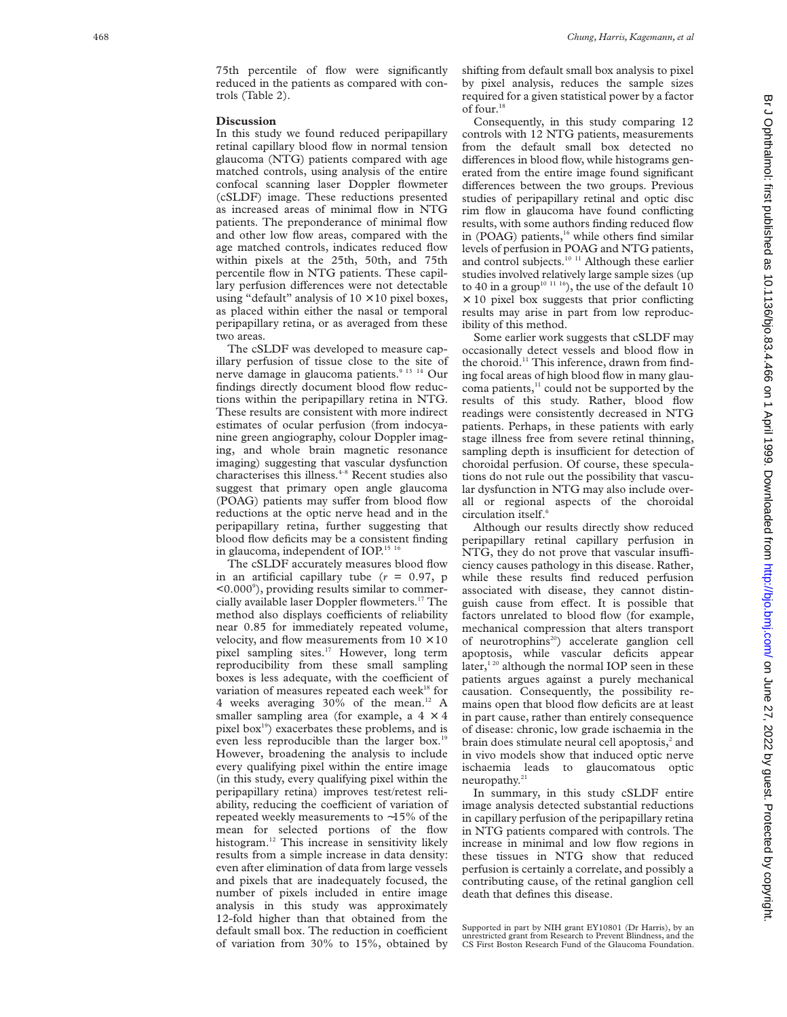75th percentile of flow were significantly reduced in the patients as compared with controls (Table 2).

#### **Discussion**

In this study we found reduced peripapillary retinal capillary blood flow in normal tension glaucoma (NTG) patients compared with age matched controls, using analysis of the entire confocal scanning laser Doppler flowmeter (cSLDF) image. These reductions presented as increased areas of minimal flow in NTG patients. The preponderance of minimal flow and other low flow areas, compared with the age matched controls, indicates reduced flow within pixels at the 25th, 50th, and 75th percentile flow in NTG patients. These capillary perfusion differences were not detectable using "default" analysis of  $10 \times 10$  pixel boxes, as placed within either the nasal or temporal peripapillary retina, or as averaged from these two areas.

The cSLDF was developed to measure capillary perfusion of tissue close to the site of nerve damage in glaucoma patients.<sup>9 13 14</sup> Our findings directly document blood flow reductions within the peripapillary retina in NTG. These results are consistent with more indirect estimates of ocular perfusion (from indocyanine green angiography, colour Doppler imaging, and whole brain magnetic resonance imaging) suggesting that vascular dysfunction characterises this illness.<sup>4-8</sup> Recent studies also suggest that primary open angle glaucoma (POAG) patients may suffer from blood flow reductions at the optic nerve head and in the peripapillary retina, further suggesting that blood flow deficits may be a consistent finding in glaucoma, independent of IOP.<sup>15 16</sup>

The cSLDF accurately measures blood flow in an artificial capillary tube ( *r* = 0.97, p <0.000 9 ), providing results similar to commercially available laser Doppler flowmeters.17 The method also displays coefficients of reliability near 0.85 for immediately repeated volume, velocity, and flow measurements from  $10 \times 10$ pixel sampling sites.<sup>17</sup> However, long term reproducibility from these small sampling boxes is less adequate, with the coefficient of variation of measures repeated each week<sup>18</sup> for 4 weeks averaging 30% of the mean.<sup>12</sup> A smaller sampling area (for example, a  $4 \times 4$ pixel box<sup>19</sup>) exacerbates these problems, and is even less reproducible than the larger box.<sup>19</sup> However, broadening the analysis to include every qualifying pixel within the entire image (in this study, every qualifying pixel within the peripapillary retina) improves test/retest reliability, reducing the coefficient of variation of repeated weekly measurements to ∼15% of the mean for selected portions of the flow histogram.<sup>12</sup> This increase in sensitivity likely results from a simple increase in data density: even after elimination of data from large vessels and pixels that are inadequately focused, the number of pixels included in entire image analysis in this study was approximately 12-fold higher than that obtained from the default small box. The reduction in coefficient of variation from 30% to 15%, obtained by

shifting from default small box analysis to pixel by pixel analysis, reduces the sample sizes required for a given statistical power by a factor of four. $18$ 

Consequently, in this study comparing 12 controls with 12 NTG patients, measurements from the default small box detected no differences in blood flow, while histograms generated from the entire image found significant differences between the two groups. Previous studies of peripapillary retinal and optic disc rim flow in glaucoma have found conflicting results, with some authors finding reduced flow in (POAG) patients,<sup>16</sup> while others find similar levels of perfusion in POAG and NTG patients, and control subjects.<sup>10 11</sup> Although these earlier studies involved relatively large sample sizes (up to 40 in a group<sup>10 11 16</sup>), the use of the default  $10$  $\times$  10 pixel box suggests that prior conflicting results may arise in part from low reproducibility of this method.

Some earlier work suggests that cSLDF may occasionally detect vessels and blood flow in the choroid.<sup>11</sup> This inference, drawn from finding focal areas of high blood flow in many glaucoma patients,<sup>11</sup> could not be supported by the results of this study. Rather, blood flow readings were consistently decreased in NTG patients. Perhaps, in these patients with early stage illness free from severe retinal thinning, sampling depth is insufficient for detection of choroidal perfusion. Of course, these speculations do not rule out the possibility that vascular dysfunction in NTG may also include overall or regional aspects of the choroidal circulation itself. 6

Although our results directly show reduced peripapillary retinal capillary perfusion in NTG, they do not prove that vascular insufficiency causes pathology in this disease. Rather, while these results find reduced perfusion associated with disease, they cannot distinguish cause from effect. It is possible that factors unrelated to blood flow (for example, mechanical compression that alters transport of neurotrophins<sup>20</sup>) accelerate ganglion cell apoptosis, while vascular deficits appear later, $1^{20}$  although the normal IOP seen in these patients argues against a purely mechanical causation. Consequently, the possibility remains open that blood flow deficits are at least in part cause, rather than entirely consequence of disease: chronic, low grade ischaemia in the brain does stimulate neural cell apoptosis, <sup>2</sup> and in vivo models show that induced optic nerve ischaemia leads to glaucomatous optic neuropathy.21

In summary, in this study cSLDF entire image analysis detected substantial reductions in capillary perfusion of the peripapillary retina in NTG patients compared with controls. The increase in minimal and low flow regions in these tissues in NTG show that reduced perfusion is certainly a correlate, and possibly a contributing cause, of the retinal ganglion cell death that defines this disease.

Supported in part by NIH grant EY10801 (Dr Harris), by an unrestricted grant from Research to Prevent Blindness, and the CS First Boston Research Fund of the Glaucoma Foundation.